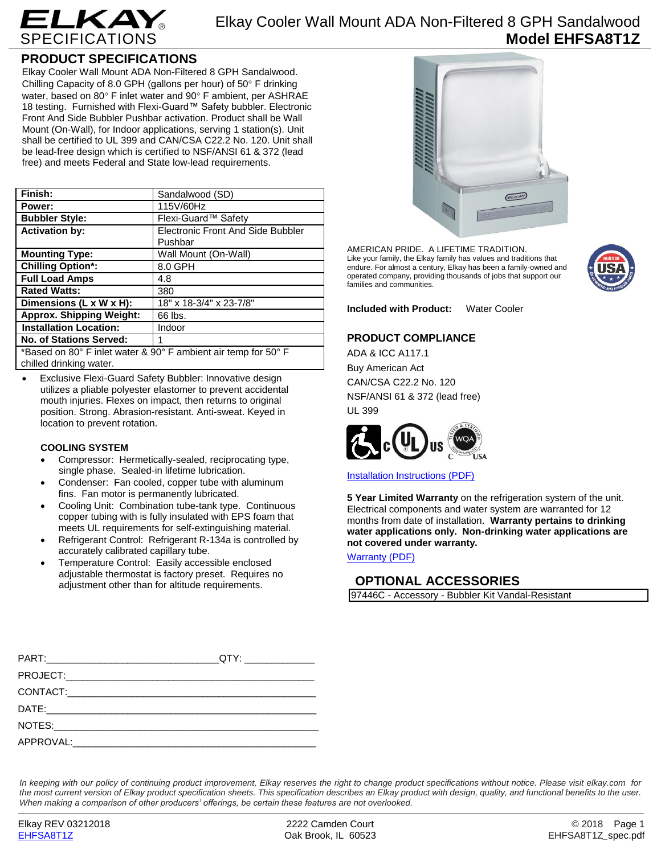

# **PRODUCT SPECIFICATIONS**

Elkay Cooler Wall Mount ADA Non-Filtered 8 GPH Sandalwood. Chilling Capacity of 8.0 GPH (gallons per hour) of 50 $^{\circ}$  F drinking water, based on 80° F inlet water and 90° F ambient, per ASHRAE 18 testing. Furnished with Flexi-Guard™ Safety bubbler. Electronic Front And Side Bubbler Pushbar activation. Product shall be Wall Mount (On-Wall), for Indoor applications, serving 1 station(s). Unit shall be certified to UL 399 and CAN/CSA C22.2 No. 120. Unit shall be lead-free design which is certified to NSF/ANSI 61 & 372 (lead free) and meets Federal and State low-lead requirements.

| Finish:                                                        | Sandalwood (SD)                          |
|----------------------------------------------------------------|------------------------------------------|
| Power:                                                         | 115V/60Hz                                |
| <b>Bubbler Style:</b>                                          | Flexi-Guard™ Safety                      |
| <b>Activation by:</b>                                          | <b>Electronic Front And Side Bubbler</b> |
|                                                                | Pushbar                                  |
| <b>Mounting Type:</b>                                          | Wall Mount (On-Wall)                     |
| <b>Chilling Option*:</b>                                       | 8.0 GPH                                  |
| <b>Full Load Amps</b>                                          | 4.8                                      |
| <b>Rated Watts:</b>                                            | 380                                      |
| Dimensions (L x W x H):                                        | 18" x 18-3/4" x 23-7/8"                  |
| <b>Approx. Shipping Weight:</b>                                | 66 lbs.                                  |
| <b>Installation Location:</b>                                  | Indoor                                   |
| <b>No. of Stations Served:</b>                                 | 1                                        |
| *Based on 80° F inlet water & 90° F ambient air temp for 50° F |                                          |

chilled drinking water.

 Exclusive Flexi-Guard Safety Bubbler: Innovative design utilizes a pliable polyester elastomer to prevent accidental mouth injuries. Flexes on impact, then returns to original position. Strong. Abrasion-resistant. Anti-sweat. Keyed in location to prevent rotation.

### **COOLING SYSTEM**

- Compressor: Hermetically-sealed, reciprocating type, single phase. Sealed-in lifetime lubrication.
- Condenser: Fan cooled, copper tube with aluminum fins. Fan motor is permanently lubricated.
- Cooling Unit: Combination tube-tank type. Continuous copper tubing with is fully insulated with EPS foam that meets UL requirements for self-extinguishing material.
- Refrigerant Control: Refrigerant R-134a is controlled by accurately calibrated capillary tube.
- Temperature Control: Easily accessible enclosed adjustable thermostat is factory preset. Requires no adjustment other than for altitude requirements.



AMERICAN PRIDE. A LIFETIME TRADITION. Like your family, the Elkay family has values and traditions that endure. For almost a century, Elkay has been a family-owned and operated company, providing thousands of jobs that support our families and communities.



**Included with Product:** Water Cooler

### **PRODUCT COMPLIANCE**

ADA & ICC A117.1 Buy American Act CAN/CSA C22.2 No. 120 NSF/ANSI 61 & 372 (lead free) UL 399



[Installation Instructions \(PDF\)](http://www.elkay.com/wcsstore/lkdocs/care-cleaning-install-warranty-sheets/0000000971.pdf)

**5 Year Limited Warranty** on the refrigeration system of the unit. Electrical components and water system are warranted for 12 months from date of installation. **Warranty pertains to drinking water applications only. Non-drinking water applications are not covered under warranty.**

[Warranty](http://www.elkay.com/wcsstore/lkdocs/care-cleaning-install-warranty-sheets/96993c.pdf) (PDF)

## **OPTIONAL ACCESSORIES**

97446C - Accessory - Bubbler Kit Vandal-Resistant

| QTY: ________________ |
|-----------------------|
|                       |
|                       |
|                       |
|                       |
|                       |
|                       |

*In keeping with our policy of continuing product improvement, Elkay reserves the right to change product specifications without notice. Please visit elkay.com for the most current version of Elkay product specification sheets. This specification describes an Elkay product with design, quality, and functional benefits to the user. When making a comparison of other producers' offerings, be certain these features are not overlooked.*